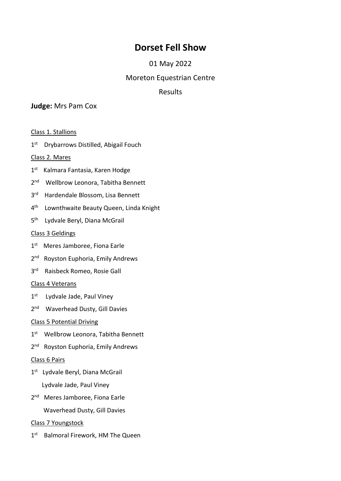# **Dorset Fell Show**

## 01 May 2022

### Moreton Equestrian Centre

## Results

### **Judge:** Mrs Pam Cox

Class 1. Stallions

1<sup>st</sup> Drybarrows Distilled, Abigail Fouch

#### Class 2. Mares

- 1<sup>st</sup> Kalmara Fantasia, Karen Hodge
- 2<sup>nd</sup> Wellbrow Leonora, Tabitha Bennett
- 3<sup>rd</sup> Hardendale Blossom, Lisa Bennett
- 4<sup>th</sup> Lownthwaite Beauty Queen, Linda Knight
- 5<sup>th</sup> Lydvale Beryl, Diana McGrail

#### Class 3 Geldings

- 1<sup>st</sup> Meres Jamboree, Fiona Earle
- 2<sup>nd</sup> Royston Euphoria, Emily Andrews
- 3<sup>rd</sup> Raisbeck Romeo, Rosie Gall

#### Class 4 Veterans

- 1<sup>st</sup> Lydvale Jade, Paul Viney
- 2<sup>nd</sup> Waverhead Dusty, Gill Davies

### Class 5 Potential Driving

- 1<sup>st</sup> Wellbrow Leonora, Tabitha Bennett
- 2<sup>nd</sup> Royston Euphoria, Emily Andrews

#### Class 6 Pairs

- 1<sup>st</sup> Lydvale Beryl, Diana McGrail Lydvale Jade, Paul Viney
- 2<sup>nd</sup> Meres Jamboree, Fiona Earle
	- Waverhead Dusty, Gill Davies

#### Class 7 Youngstock

1<sup>st</sup> Balmoral Firework, HM The Queen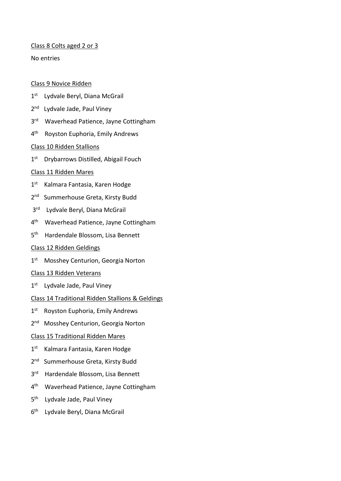#### Class 8 Colts aged 2 or 3

No entries

#### Class 9 Novice Ridden

- 1<sup>st</sup> Lydvale Beryl, Diana McGrail
- 2<sup>nd</sup> Lydvale Jade, Paul Viney
- 3<sup>rd</sup> Waverhead Patience, Jayne Cottingham
- 4<sup>th</sup> Royston Euphoria, Emily Andrews

#### Class 10 Ridden Stallions

1<sup>st</sup> Drybarrows Distilled, Abigail Fouch

#### Class 11 Ridden Mares

- 1<sup>st</sup> Kalmara Fantasia, Karen Hodge
- 2<sup>nd</sup> Summerhouse Greta, Kirsty Budd
- 3<sup>rd</sup> Lydvale Beryl, Diana McGrail
- 4<sup>th</sup> Waverhead Patience, Jayne Cottingham
- 5<sup>th</sup> Hardendale Blossom, Lisa Bennett

#### Class 12 Ridden Geldings

- 1<sup>st</sup> Mosshey Centurion, Georgia Norton
- Class 13 Ridden Veterans
- 1<sup>st</sup> Lydvale Jade, Paul Viney
- Class 14 Traditional Ridden Stallions & Geldings
- 1<sup>st</sup> Royston Euphoria, Emily Andrews
- 2<sup>nd</sup> Mosshey Centurion, Georgia Norton

#### Class 15 Traditional Ridden Mares

- 1<sup>st</sup> Kalmara Fantasia, Karen Hodge
- 2<sup>nd</sup> Summerhouse Greta, Kirsty Budd
- 3<sup>rd</sup> Hardendale Blossom, Lisa Bennett
- 4<sup>th</sup> Waverhead Patience, Jayne Cottingham
- 5 th Lydvale Jade, Paul Viney
- 6<sup>th</sup> Lydvale Beryl, Diana McGrail